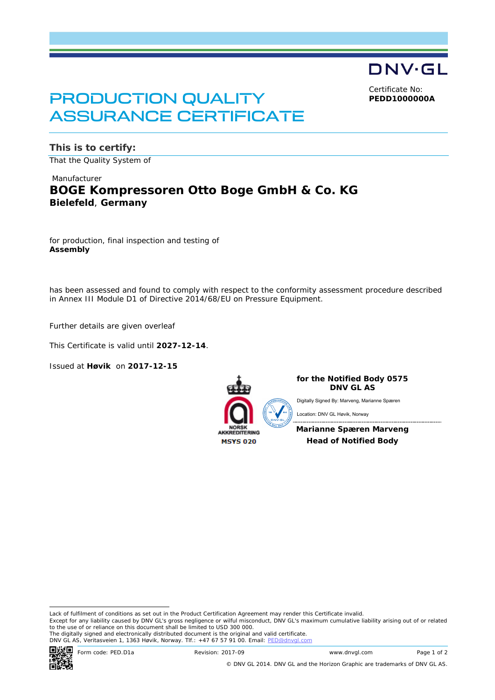DNV·GL Certificate No:

**PEDD1000000A**

# PRODUCTION QUALITY ASSURANCE CERTIFICATE

**This is to certify:** That the Quality System of

# Manufacturer **BOGE Kompressoren Otto Boge GmbH & Co. KG Bielefeld**, **Germany**

for production, final inspection and testing of **Assembly**

has been assessed and found to comply with respect to the conformity assessment procedure described in Annex III Module D1 of Directive 2014/68/EU on Pressure Equipment.

Further details are given overleaf

This Certificate is valid until **2027-12-14**.

Issued at **Høvik** on **2017-12-15**



**for the Notified Body 0575 DNV GL AS**

Digitally Signed By: Marveng, Marianne Spæren

Location: DNV GL Høvik, Norway

**Marianne Spæren Marveng Head of Notified Body**

 Lack of fulfilment of conditions as set out in the Product Certification Agreement may render this Certificate invalid. Except for any liability caused by DNV GL's gross negligence or wilful misconduct, DNV GL's maximum cumulative liability arising out of or related to the use of or reliance on this document shall be limited to USD 300 000.

The digitally signed and electronically distributed document is the original and valid certificate.<br>DNV GL AS, Veritasveien 1, 1363 Høvik, Norway. Tlf.: +47 67 57 91 00. Email: <u>PED@dnvgl.com</u>



© DNV GL 2014. DNV GL and the Horizon Graphic are trademarks of DNV GL AS.